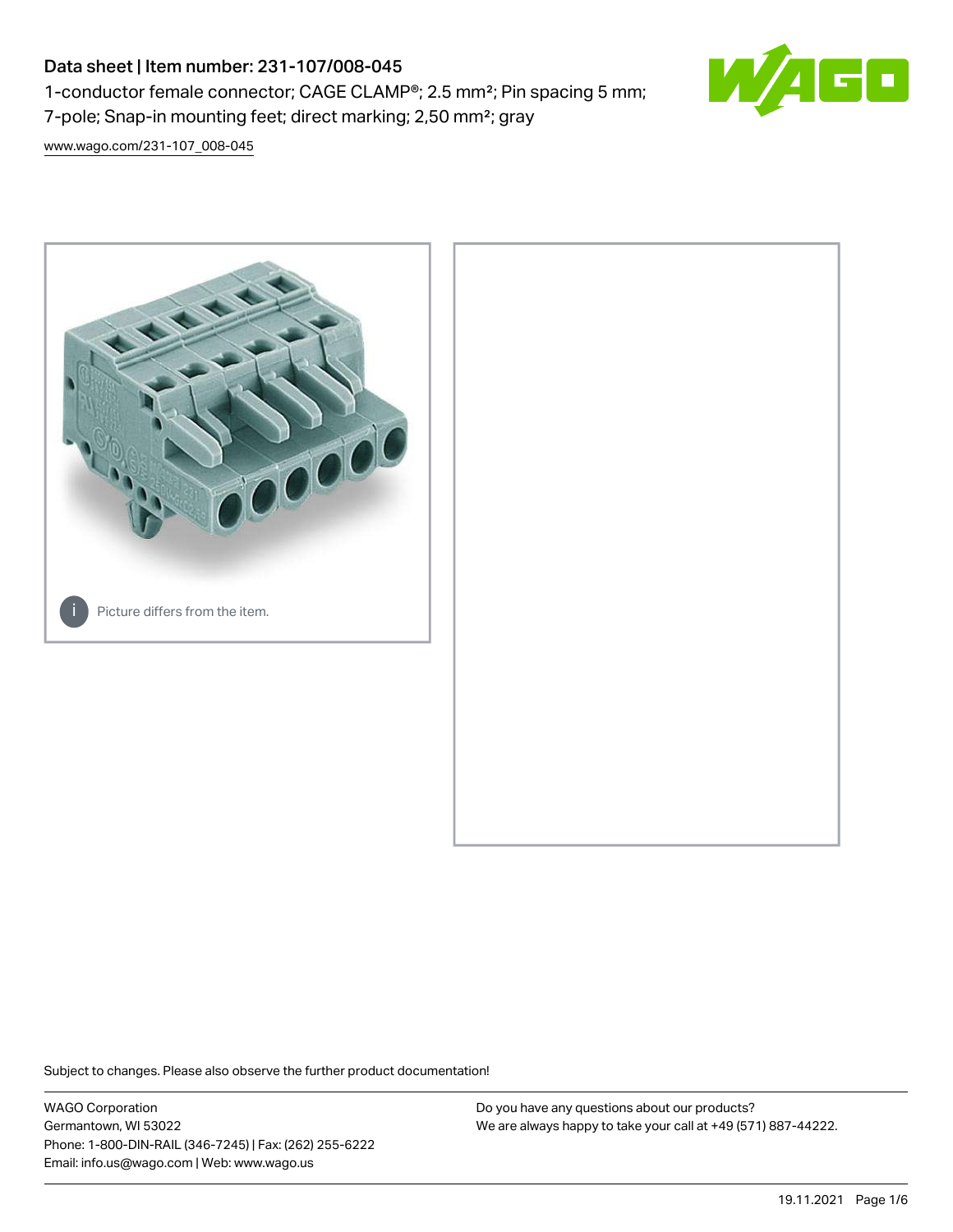# Data sheet | Item number: 231-107/008-045 1-conductor female connector; CAGE CLAMP®; 2.5 mm²; Pin spacing 5 mm; 7-pole; Snap-in mounting feet; direct marking; 2,50 mm<sup>2</sup>; gray



[www.wago.com/231-107\\_008-045](http://www.wago.com/231-107_008-045)



Subject to changes. Please also observe the further product documentation!

WAGO Corporation Germantown, WI 53022 Phone: 1-800-DIN-RAIL (346-7245) | Fax: (262) 255-6222 Email: info.us@wago.com | Web: www.wago.us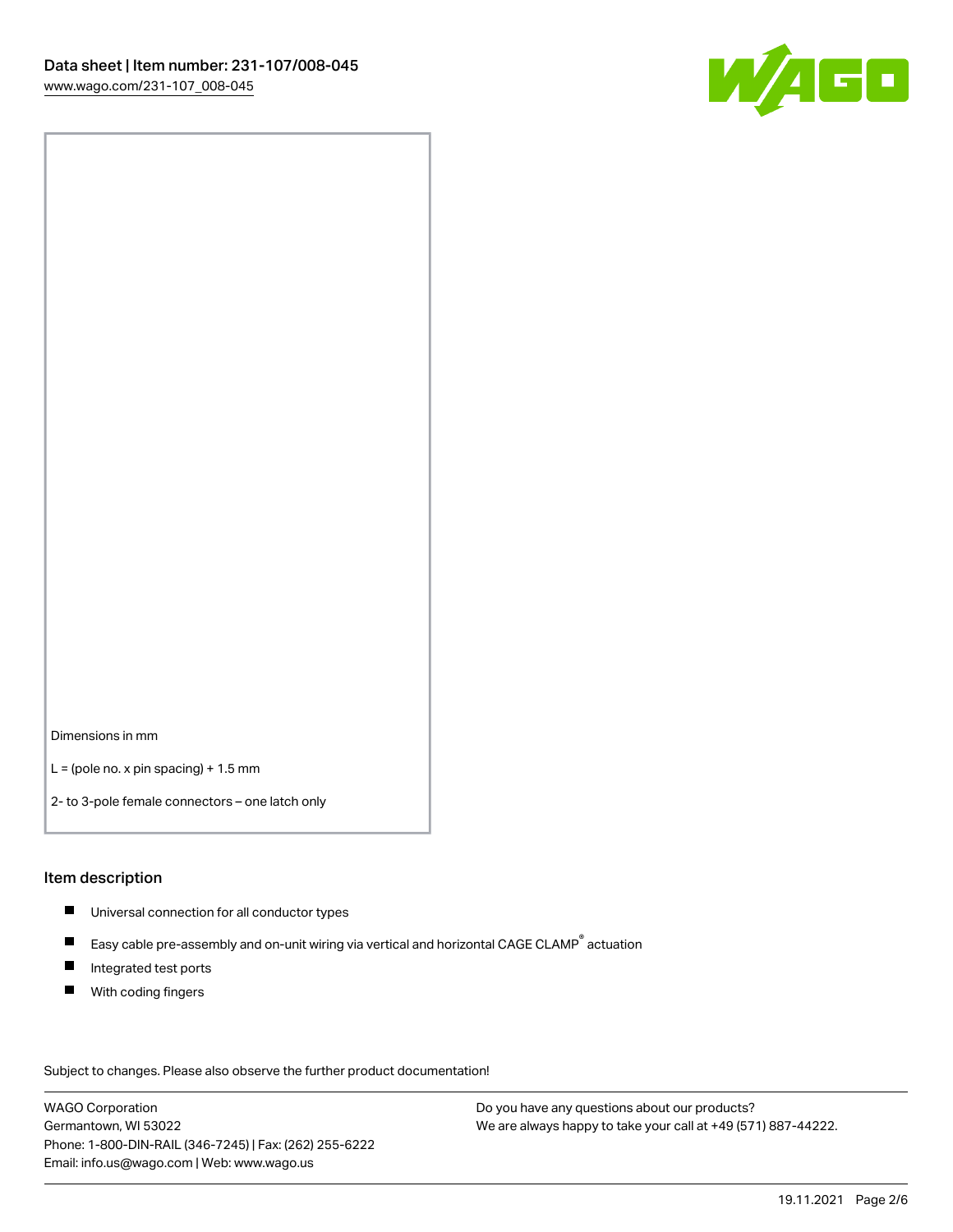

Dimensions in mm

 $L =$  (pole no. x pin spacing) + 1.5 mm

2- to 3-pole female connectors – one latch only

#### Item description

- **Universal connection for all conductor types**
- Easy cable pre-assembly and on-unit wiring via vertical and horizontal CAGE CLAMP<sup>®</sup> actuation  $\blacksquare$
- $\blacksquare$ Integrated test ports
- $\blacksquare$ With coding fingers

Subject to changes. Please also observe the further product documentation! Data

WAGO Corporation Germantown, WI 53022 Phone: 1-800-DIN-RAIL (346-7245) | Fax: (262) 255-6222 Email: info.us@wago.com | Web: www.wago.us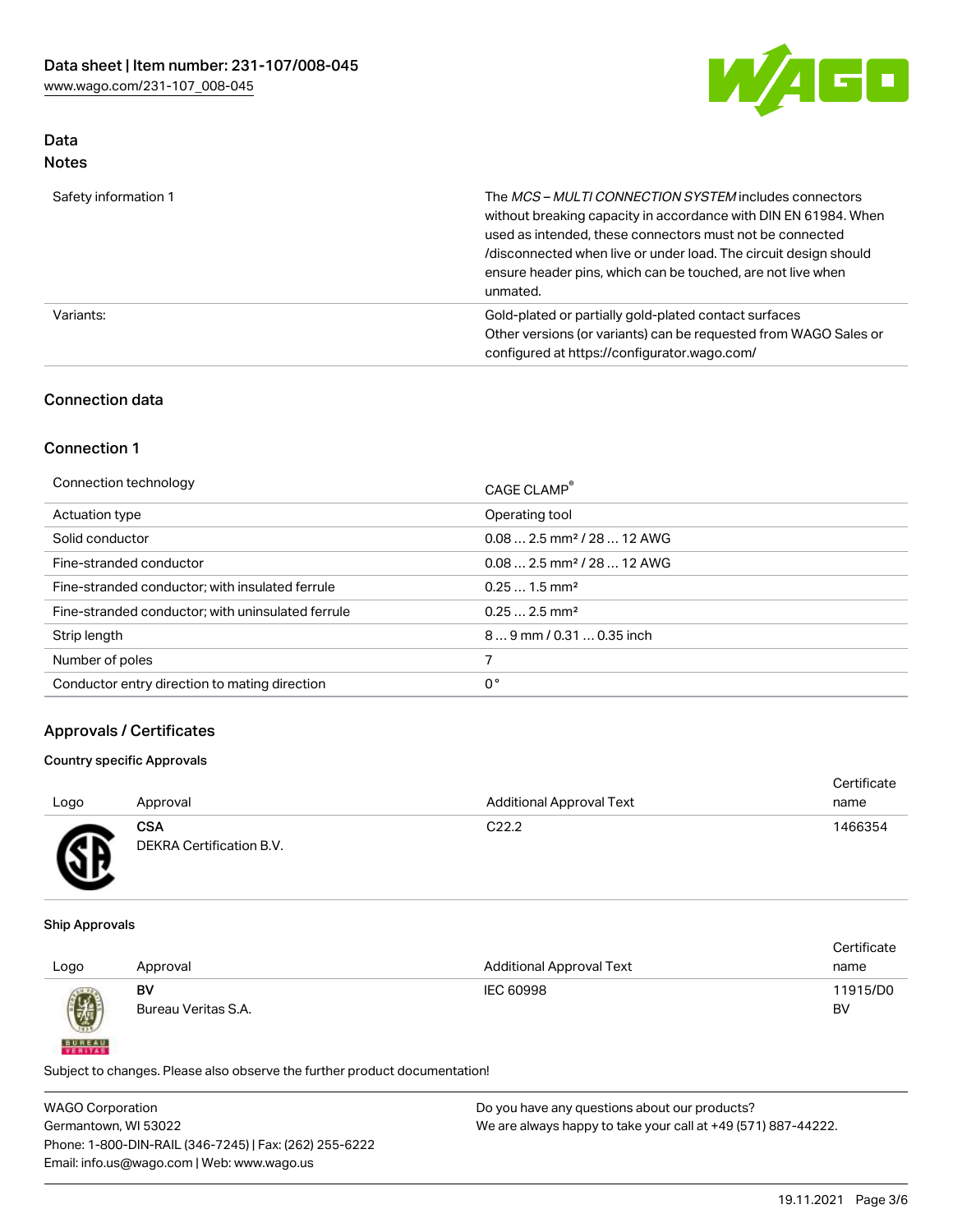

## Data Notes

| Safety information 1 | The MCS-MULTI CONNECTION SYSTEM includes connectors<br>without breaking capacity in accordance with DIN EN 61984. When<br>used as intended, these connectors must not be connected<br>/disconnected when live or under load. The circuit design should<br>ensure header pins, which can be touched, are not live when<br>unmated. |
|----------------------|-----------------------------------------------------------------------------------------------------------------------------------------------------------------------------------------------------------------------------------------------------------------------------------------------------------------------------------|
| Variants:            | Gold-plated or partially gold-plated contact surfaces<br>Other versions (or variants) can be requested from WAGO Sales or<br>configured at https://configurator.wago.com/                                                                                                                                                         |

## Connection data

## Connection 1

| Connection technology                             | CAGE CLAMP®                            |
|---------------------------------------------------|----------------------------------------|
| Actuation type                                    | Operating tool                         |
| Solid conductor                                   | $0.082.5$ mm <sup>2</sup> / 28  12 AWG |
| Fine-stranded conductor                           | $0.082.5$ mm <sup>2</sup> / 28  12 AWG |
| Fine-stranded conductor; with insulated ferrule   | $0.251.5$ mm <sup>2</sup>              |
| Fine-stranded conductor; with uninsulated ferrule | $0.252.5$ mm <sup>2</sup>              |
| Strip length                                      | $89$ mm / 0.31  0.35 inch              |
| Number of poles                                   |                                        |
| Conductor entry direction to mating direction     | 0°                                     |

## Approvals / Certificates

#### Country specific Approvals

| Logo                               | Approval                               | <b>Additional Approval Text</b> | Certificate<br>name |
|------------------------------------|----------------------------------------|---------------------------------|---------------------|
| <b>AY</b><br>$\tilde{\phantom{a}}$ | <b>CSA</b><br>DEKRA Certification B.V. | C <sub>22.2</sub>               | 1466354             |

#### Ship Approvals

**BUREAU** 

|      |                     |                                 | Certificate |
|------|---------------------|---------------------------------|-------------|
| Logo | Approval            | <b>Additional Approval Text</b> | name        |
|      | BV                  | IEC 60998                       | 11915/D0    |
| 0    | Bureau Veritas S.A. |                                 | BV          |

Subject to changes. Please also observe the further product documentation!

| <b>WAGO Corporation</b>                                | Do you have any questions about our products?                 |
|--------------------------------------------------------|---------------------------------------------------------------|
| Germantown, WI 53022                                   | We are always happy to take your call at +49 (571) 887-44222. |
| Phone: 1-800-DIN-RAIL (346-7245)   Fax: (262) 255-6222 |                                                               |
| Email: info.us@wago.com   Web: www.wago.us             |                                                               |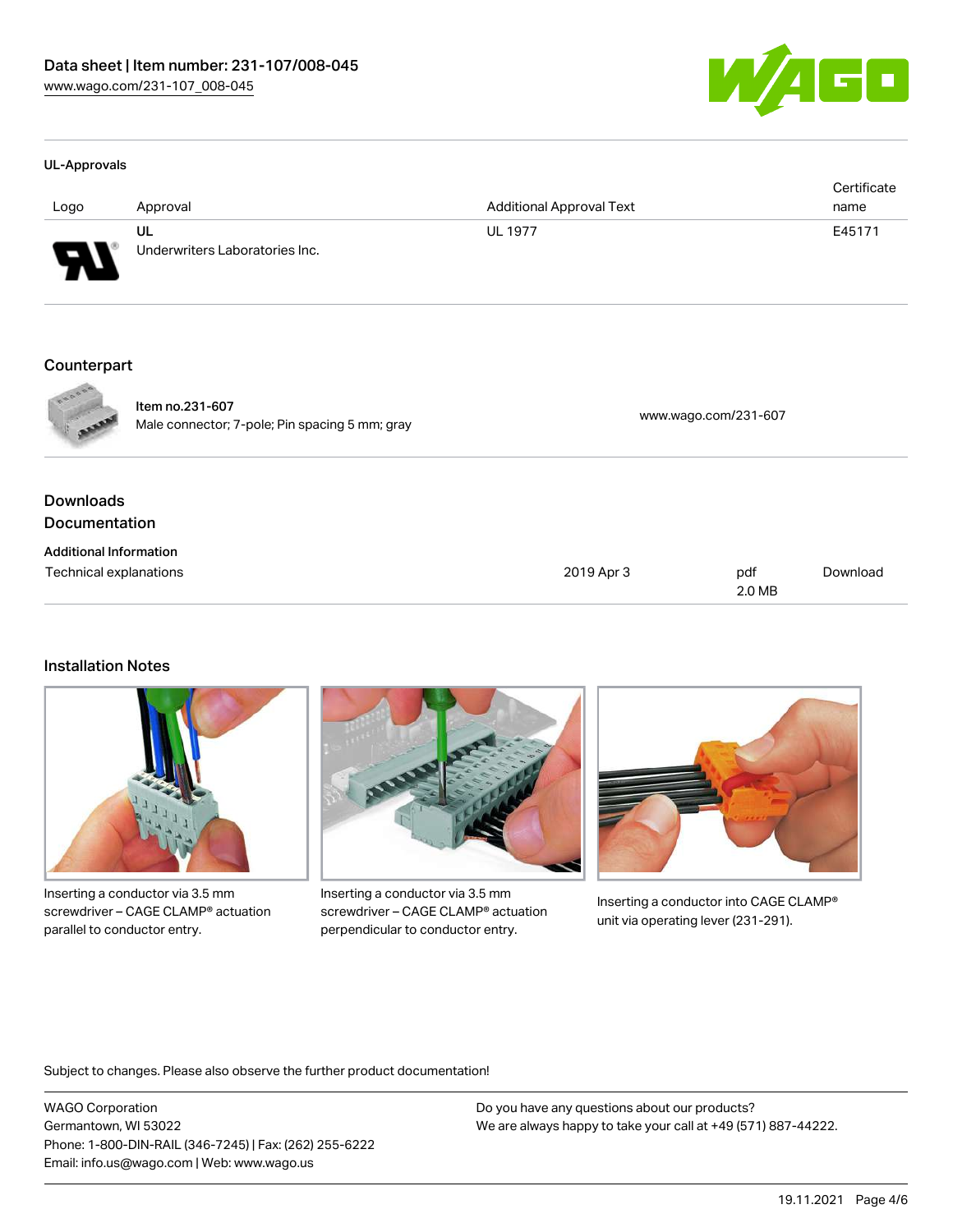

#### UL-Approvals

| Logo | Approval                             | <b>Additional Approval Text</b> | Certificate<br>name |
|------|--------------------------------------|---------------------------------|---------------------|
| J    | UL<br>Underwriters Laboratories Inc. | <b>UL 1977</b>                  | E45171              |

#### Counterpart



Item no.231-607 nem 10.231-007<br>Male connector; 7-pole; Pin spacing 5 mm; gray [www.wago.com/231-607](https://www.wago.com/231-607)

## **Downloads Documentation**

| <b>Additional Information</b> |            |        |          |
|-------------------------------|------------|--------|----------|
| Technical explanations        | 2019 Apr 3 | pdf    | Download |
|                               |            | 2.0 MB |          |

## Installation Notes



Inserting a conductor via 3.5 mm screwdriver – CAGE CLAMP® actuation parallel to conductor entry.



Inserting a conductor via 3.5 mm screwdriver – CAGE CLAMP® actuation perpendicular to conductor entry.



Inserting a conductor into CAGE CLAMP® unit via operating lever (231-291).

Subject to changes. Please also observe the further product documentation!

WAGO Corporation Germantown, WI 53022 Phone: 1-800-DIN-RAIL (346-7245) | Fax: (262) 255-6222 Email: info.us@wago.com | Web: www.wago.us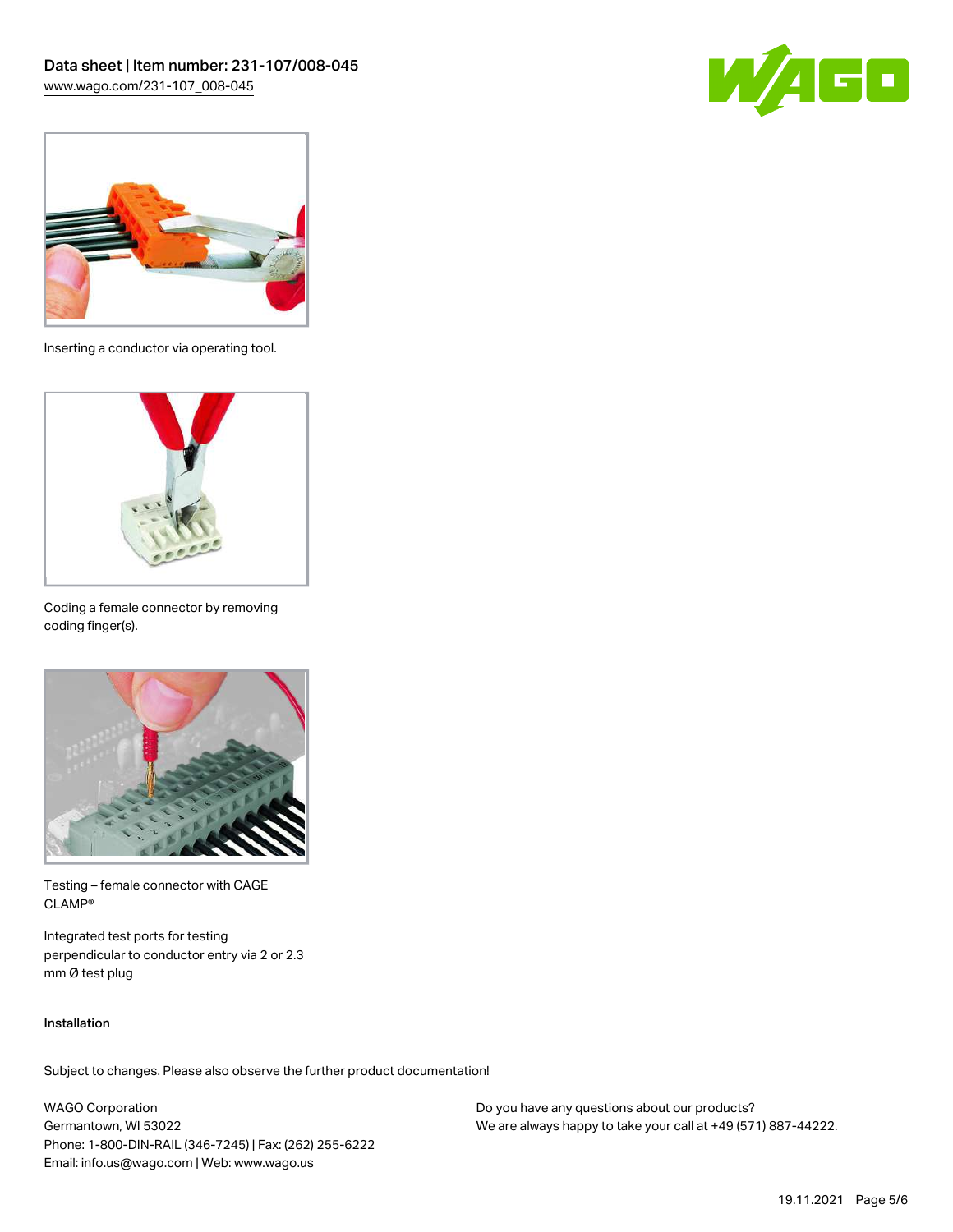



Inserting a conductor via operating tool.



Coding a female connector by removing coding finger(s).



Testing – female connector with CAGE CLAMP®

Integrated test ports for testing perpendicular to conductor entry via 2 or 2.3 mm Ø test plug

#### Installation

Subject to changes. Please also observe the further product documentation!

WAGO Corporation Germantown, WI 53022 Phone: 1-800-DIN-RAIL (346-7245) | Fax: (262) 255-6222 Email: info.us@wago.com | Web: www.wago.us